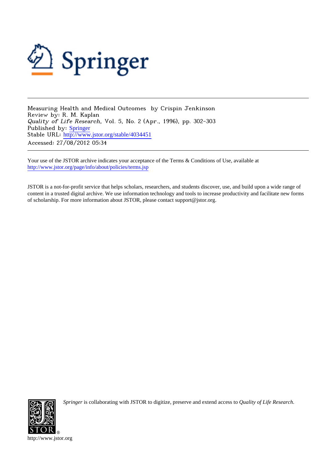

Measuring Health and Medical Outcomes by Crispin Jenkinson Review by: R. M. Kaplan Quality of Life Research, Vol. 5, No. 2 (Apr., 1996), pp. 302-303 Published by: [Springer](http://www.jstor.org/action/showPublisher?publisherCode=springer) Stable URL: [http://www.jstor.org/stable/4034451](http://www.jstor.org/stable/4034451?origin=JSTOR-pdf) Accessed: 27/08/2012 05:34

Your use of the JSTOR archive indicates your acceptance of the Terms & Conditions of Use, available at <http://www.jstor.org/page/info/about/policies/terms.jsp>

JSTOR is a not-for-profit service that helps scholars, researchers, and students discover, use, and build upon a wide range of content in a trusted digital archive. We use information technology and tools to increase productivity and facilitate new forms of scholarship. For more information about JSTOR, please contact support@jstor.org.



*Springer* is collaborating with JSTOR to digitize, preserve and extend access to *Quality of Life Research.*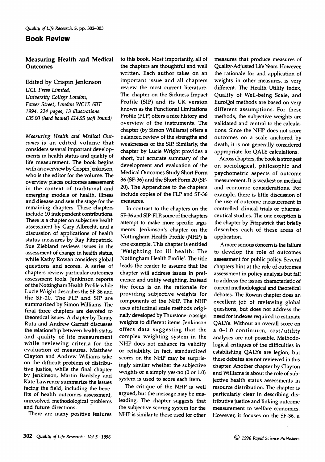## **Book Review**

## **Measuring Health and Medical Outcomes**

**Edited by Crispin Jenkinson UCL Press Limited, University College London, Fower Street, London WC1E 6BT 1994. 224 pages, 13 illutstrations. ?35.00 (hard bound) ?14.95 (soft bound)** 

**Measuring Health and Medical Ouitcomes is an edited volume that considers several important developments in health status and quality of life measurement. The book begins with an overview by Crispin Jenkinson, who is the editor for the volume. The overview places outcomes assessment in the context of traditional and emerging models of health, illness and disease and sets the stage for the remaining chapters. These chapters include 10 independent contributions. There is a chapter on subjective health assessment by Gary Albrecht, and a discussion of applications of health status measures by Ray Fitzpatrick. Sue Ziebland reviews issues in the assessment of change in health status, while Kathy Rowan considers global questions and scores. A series of chapters review particular outcomes assessment tools. Jenkinson reports of the Nottingham Health Profile while Lucie Wright describes the SF-36 and the SF-20. The FLP and SIP are summarized by Simon Williams. The final three chapters are devoted to theoretical issues. A chapter by Danny Ruta and Andrew Garratt discusses the relationship between health status and quality of life measurement while reviewing criteria for the evaluation of measures. Matthew Clayton and Andrew Williams take on the difficult problem of distributive justice, while the final chapter by Jenkinson, Martin Bardsley and Kate Lawrence summarize the issues facing the field, including the benefits of health outcomes assessment, unresolved methodological problems and future directions.** 

**There are many positive features** 

**to this book. Most importantly, all of the chapters are thoughtful and well written. Each author takes on an important issue and all chapters review the most current literature. The chapter on the Sickness Impact Profile (SIP) and its UK version known as the Functional Limitations Profile (FLP) offers a nice history and overview of the instruments. The chapter (by Simon Williams) offers a balanced review of the strengths and weaknesses of the SIP. Similarly, the chapter by Lucie Wright provides a short, but accurate summary of the development and evaluation of the Medical Outcomes Study Short Form 36 (SF-36) and the Short Form 20 (SF-20). The Appendices to the chapters include copies of the FLP and SF-36 measures.** 

**In contrast to the chapters on the SF-36 and SIP-FLP, some of the chapters attempt to make more specific arguments. Jenkinson's chapter on the Nottingham Health Profile (NHP) is one example. This chapter is entitled 'Weighting for ill health: The Nottingham Health Profile'. The title leads the reader to assume that the chapter will address issues in preference and utility weighting. Instead the focus is on the rationale for providing subjective weights for components of the NHP. The NHP uses attitudinal scale methods originally developed by Thurstone to assign weights to different items. Jenkinson offers data suggesting that the complex weighting system in the NHP does not enhance its validity or reliability. In fact, standardized scores on the NHP may be surprisingly similar whether the subjective weights or a simply yes-no (0 or 1.0) system is used to score each item.** 

**The critique of the NHP is well argued, but the message may be misleading. The chapter suggests that the subjective scoring system for the NHP is similar to those used for other** 

**measures that produce measures of Quality-Adjusted Life Years. However, the rationale for and application of weights in other measures, is very different. The Health Utility Index, Quality of Well-being Scale, and EuroQol methods are based on very different assumptions. For these methods, the subjective weights are validated and central to the calculations. Since the NHP does not score outcomes on a scale anchored by death, it is not generally considered appropriate for QALY calculations.** 

**Across chapters, the book is strongest on sociological, philosophic and psychometric aspects of outcome measurement. It is weakest on medical and economic considerations. For example, there is little discussion of the use of outcome measurement in controlled clinical trials or pharmaceutical studies. The one exception is the chapter by Fitzpatrick that briefly describes each of these areas of application.** 

**A more serious concern is the failure to develop the role of outcomes assessment for public policy. Several chapters hint at the role of outcomes assessment in policy analysis but fail to address the issues characteristic of current methodological and theoretical debates. The Rowan chapter does an excellent job of reviewing global questions, but does not address the need for indexes required to estimate QALYs. Without an overall score on a 0-1.0 continuum, cost/utility analyses are not possible. Methodological critiques of the difficulties in establishing QALYs are legion, but these debates are not reviewed in this chapter. Another chapter by Clayton and Williams is about the role of subjective health status assessments in resource distribution. The chapter is particularly clear in describing distributive justice and linking outcome measurement to welfare economics. However, it focuses on the SF-36, a**